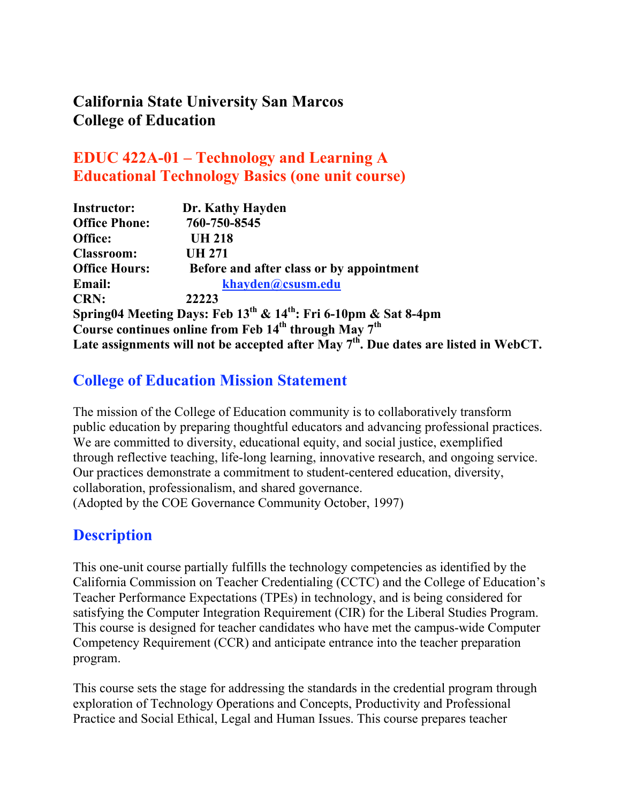# **California State University San Marcos College of Education**

# **EDUC 422A-01 – Technology and Learning A Educational Technology Basics (one unit course)**

| <b>Instructor:</b>   | Dr. Kathy Hayden                                                                        |
|----------------------|-----------------------------------------------------------------------------------------|
| <b>Office Phone:</b> | 760-750-8545                                                                            |
| Office:              | <b>UH 218</b>                                                                           |
| <b>Classroom:</b>    | <b>UH 271</b>                                                                           |
| <b>Office Hours:</b> | Before and after class or by appointment                                                |
| <b>Email:</b>        | khayden@csusm.edu                                                                       |
| <b>CRN:</b>          | 22223                                                                                   |
|                      | Spring04 Meeting Days: Feb 13 <sup>th</sup> & 14 <sup>th</sup> : Fri 6-10pm & Sat 8-4pm |
|                      | Course continues online from Feb 14 <sup>th</sup> through May 7 <sup>th</sup>           |
|                      | Late assignments will not be accepted after May $7th$ . Due dates are listed in WebCT.  |

### **College of Education Mission Statement**

The mission of the College of Education community is to collaboratively transform public education by preparing thoughtful educators and advancing professional practices. We are committed to diversity, educational equity, and social justice, exemplified through reflective teaching, life-long learning, innovative research, and ongoing service. Our practices demonstrate a commitment to student-centered education, diversity, collaboration, professionalism, and shared governance. (Adopted by the COE Governance Community October, 1997)

### **Description**

This one-unit course partially fulfills the technology competencies as identified by the California Commission on Teacher Credentialing (CCTC) and the College of Education's Teacher Performance Expectations (TPEs) in technology, and is being considered for satisfying the Computer Integration Requirement (CIR) for the Liberal Studies Program. This course is designed for teacher candidates who have met the campus-wide Computer Competency Requirement (CCR) and anticipate entrance into the teacher preparation program.

This course sets the stage for addressing the standards in the credential program through exploration of Technology Operations and Concepts, Productivity and Professional Practice and Social Ethical, Legal and Human Issues. This course prepares teacher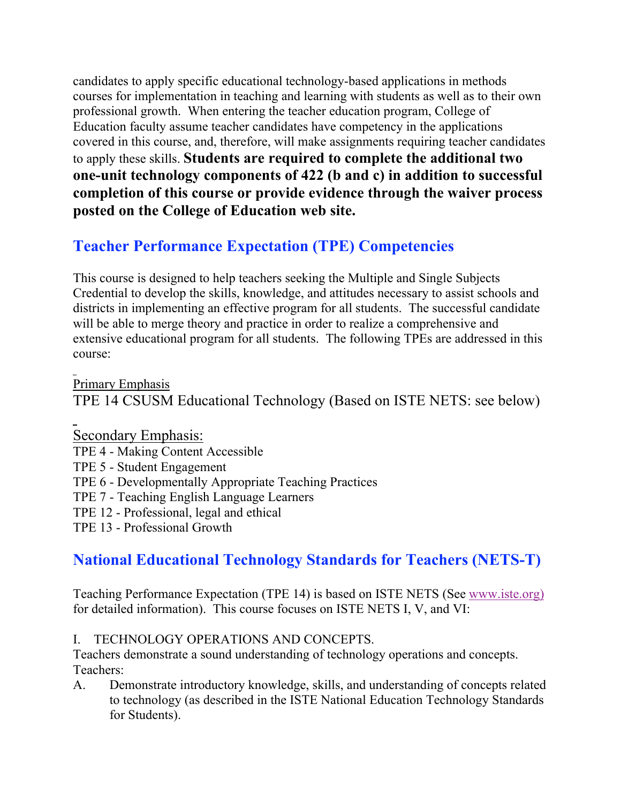candidates to apply specific educational technology-based applications in methods courses for implementation in teaching and learning with students as well as to their own professional growth. When entering the teacher education program, College of Education faculty assume teacher candidates have competency in the applications covered in this course, and, therefore, will make assignments requiring teacher candidates to apply these skills. **Students are required to complete the additional two one-unit technology components of 422 (b and c) in addition to successful completion of this course or provide evidence through the waiver process posted on the College of Education web site.**

# **Teacher Performance Expectation (TPE) Competencies**

This course is designed to help teachers seeking the Multiple and Single Subjects Credential to develop the skills, knowledge, and attitudes necessary to assist schools and districts in implementing an effective program for all students. The successful candidate will be able to merge theory and practice in order to realize a comprehensive and extensive educational program for all students. The following TPEs are addressed in this course:

Primary Emphasis

TPE 14 CSUSM Educational Technology (Based on ISTE NETS: see below)

Secondary Emphasis:

- TPE 4 Making Content Accessible
- TPE 5 Student Engagement
- TPE 6 Developmentally Appropriate Teaching Practices
- TPE 7 Teaching English Language Learners
- TPE 12 Professional, legal and ethical
- TPE 13 Professional Growth

# **National Educational Technology Standards for Teachers (NETS-T)**

Teaching Performance Expectation (TPE 14) is based on ISTE NETS (See www.iste.org) for detailed information). This course focuses on ISTE NETS I, V, and VI:

#### I. TECHNOLOGY OPERATIONS AND CONCEPTS.

Teachers demonstrate a sound understanding of technology operations and concepts. Teachers:

A. Demonstrate introductory knowledge, skills, and understanding of concepts related to technology (as described in the ISTE National Education Technology Standards for Students).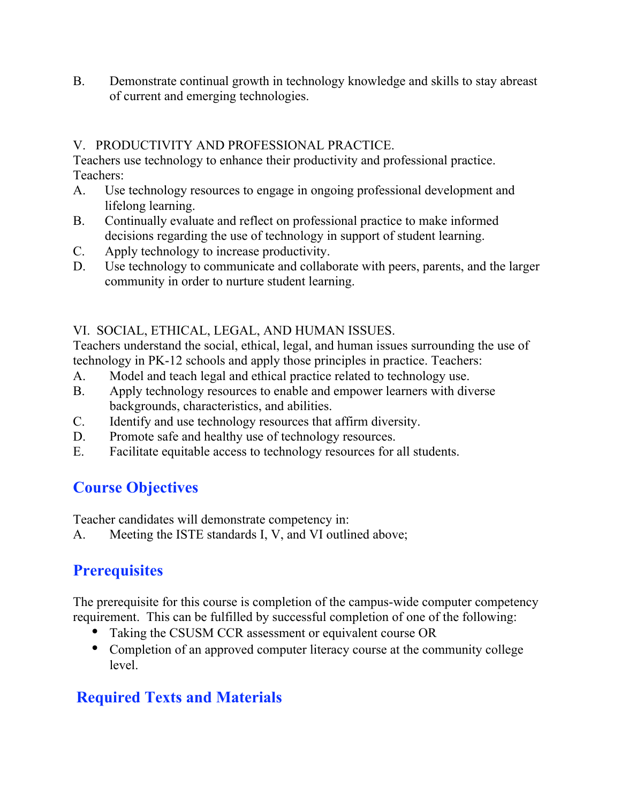B. Demonstrate continual growth in technology knowledge and skills to stay abreast of current and emerging technologies.

#### V. PRODUCTIVITY AND PROFESSIONAL PRACTICE.

Teachers use technology to enhance their productivity and professional practice. Teachers:

- A. Use technology resources to engage in ongoing professional development and lifelong learning.
- B. Continually evaluate and reflect on professional practice to make informed decisions regarding the use of technology in support of student learning.
- C. Apply technology to increase productivity.
- D. Use technology to communicate and collaborate with peers, parents, and the larger community in order to nurture student learning.

#### VI. SOCIAL, ETHICAL, LEGAL, AND HUMAN ISSUES.

Teachers understand the social, ethical, legal, and human issues surrounding the use of technology in PK-12 schools and apply those principles in practice. Teachers:

- A. Model and teach legal and ethical practice related to technology use.
- B. Apply technology resources to enable and empower learners with diverse backgrounds, characteristics, and abilities.
- C. Identify and use technology resources that affirm diversity.
- D. Promote safe and healthy use of technology resources.
- E. Facilitate equitable access to technology resources for all students.

### **Course Objectives**

Teacher candidates will demonstrate competency in:

A. Meeting the ISTE standards I, V, and VI outlined above;

# **Prerequisites**

The prerequisite for this course is completion of the campus-wide computer competency requirement. This can be fulfilled by successful completion of one of the following:

Taking the CSUSM CCR assessment or equivalent course OR

Completion of an approved computer literacy course at the community college level.

# **Required Texts and Materials**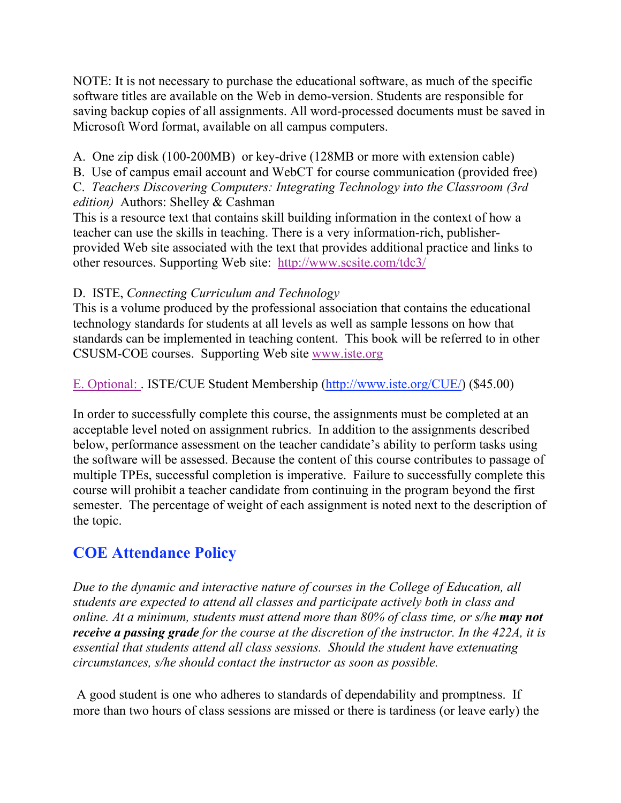NOTE: It is not necessary to purchase the educational software, as much of the specific software titles are available on the Web in demo-version. Students are responsible for saving backup copies of all assignments. All word-processed documents must be saved in Microsoft Word format, available on all campus computers.

A. One zip disk (100-200MB) or key-drive (128MB or more with extension cable)

B. Use of campus email account and WebCT for course communication (provided free) C. *Teachers Discovering Computers: Integrating Technology into the Classroom (3rd edition)* Authors: Shelley & Cashman

This is a resource text that contains skill building information in the context of how a teacher can use the skills in teaching. There is a very information-rich, publisherprovided Web site associated with the text that provides additional practice and links to other resources. Supporting Web site: http://www.scsite.com/tdc3/

#### D. ISTE, *Connecting Curriculum and Technology*

This is a volume produced by the professional association that contains the educational technology standards for students at all levels as well as sample lessons on how that standards can be implemented in teaching content. This book will be referred to in other CSUSM-COE courses. Supporting Web site www.iste.org

E. Optional: . ISTE/CUE Student Membership (http://www.iste.org/CUE/) (\$45.00)

In order to successfully complete this course, the assignments must be completed at an acceptable level noted on assignment rubrics. In addition to the assignments described below, performance assessment on the teacher candidate's ability to perform tasks using the software will be assessed. Because the content of this course contributes to passage of multiple TPEs, successful completion is imperative. Failure to successfully complete this course will prohibit a teacher candidate from continuing in the program beyond the first semester. The percentage of weight of each assignment is noted next to the description of the topic.

# **COE Attendance Policy**

*Due to the dynamic and interactive nature of courses in the College of Education, all students are expected to attend all classes and participate actively both in class and online. At a minimum, students must attend more than 80% of class time, or s/he may not receive a passing grade for the course at the discretion of the instructor. In the 422A, it is essential that students attend all class sessions. Should the student have extenuating circumstances, s/he should contact the instructor as soon as possible.*

A good student is one who adheres to standards of dependability and promptness. If more than two hours of class sessions are missed or there is tardiness (or leave early) the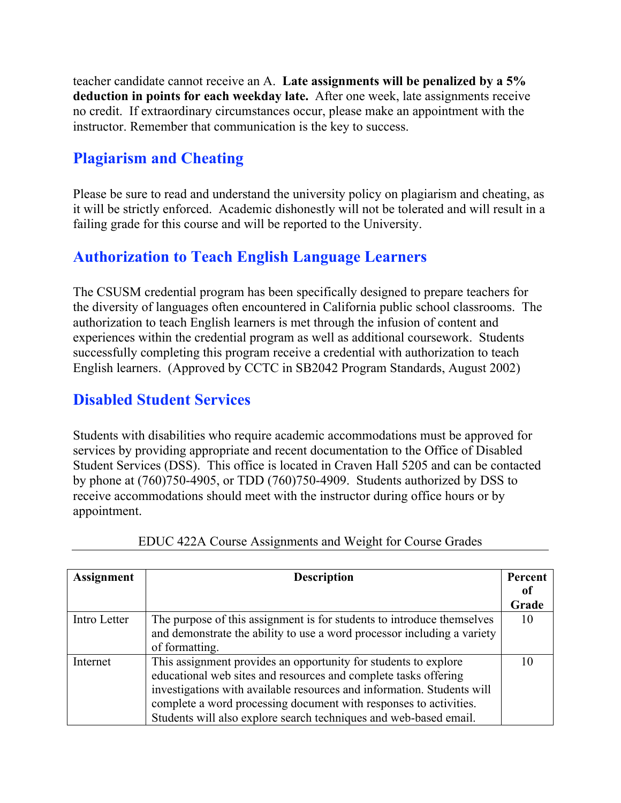teacher candidate cannot receive an A. **Late assignments will be penalized by a 5% deduction in points for each weekday late.** After one week, late assignments receive no credit. If extraordinary circumstances occur, please make an appointment with the instructor. Remember that communication is the key to success.

# **Plagiarism and Cheating**

Please be sure to read and understand the university policy on plagiarism and cheating, as it will be strictly enforced. Academic dishonestly will not be tolerated and will result in a failing grade for this course and will be reported to the University.

# **Authorization to Teach English Language Learners**

The CSUSM credential program has been specifically designed to prepare teachers for the diversity of languages often encountered in California public school classrooms. The authorization to teach English learners is met through the infusion of content and experiences within the credential program as well as additional coursework. Students successfully completing this program receive a credential with authorization to teach English learners. (Approved by CCTC in SB2042 Program Standards, August 2002)

### **Disabled Student Services**

Students with disabilities who require academic accommodations must be approved for services by providing appropriate and recent documentation to the Office of Disabled Student Services (DSS). This office is located in Craven Hall 5205 and can be contacted by phone at (760)750-4905, or TDD (760)750-4909. Students authorized by DSS to receive accommodations should meet with the instructor during office hours or by appointment.

| <b>Assignment</b> | <b>Description</b>                                                      | Percent |
|-------------------|-------------------------------------------------------------------------|---------|
|                   |                                                                         | 0t      |
|                   |                                                                         | Grade   |
| Intro Letter      | The purpose of this assignment is for students to introduce themselves  | 10      |
|                   | and demonstrate the ability to use a word processor including a variety |         |
|                   | of formatting.                                                          |         |
| Internet          | This assignment provides an opportunity for students to explore         |         |
|                   | educational web sites and resources and complete tasks offering         |         |
|                   | investigations with available resources and information. Students will  |         |
|                   | complete a word processing document with responses to activities.       |         |
|                   | Students will also explore search techniques and web-based email.       |         |

EDUC 422A Course Assignments and Weight for Course Grades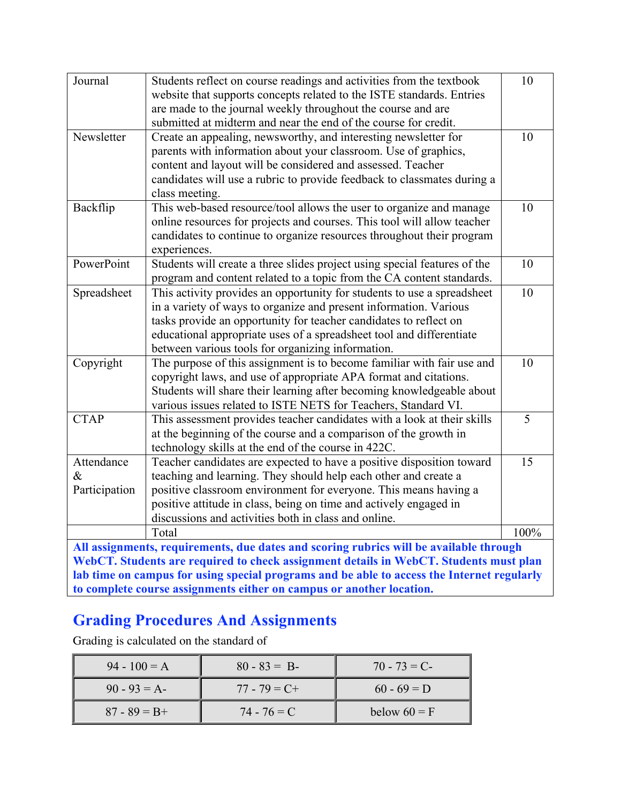| Journal                                                                               | Students reflect on course readings and activities from the textbook<br>website that supports concepts related to the ISTE standards. Entries<br>are made to the journal weekly throughout the course and are<br>submitted at midterm and near the end of the course for credit. | 10   |  |  |
|---------------------------------------------------------------------------------------|----------------------------------------------------------------------------------------------------------------------------------------------------------------------------------------------------------------------------------------------------------------------------------|------|--|--|
| Newsletter                                                                            | Create an appealing, newsworthy, and interesting newsletter for                                                                                                                                                                                                                  | 10   |  |  |
|                                                                                       | parents with information about your classroom. Use of graphics,                                                                                                                                                                                                                  |      |  |  |
|                                                                                       | content and layout will be considered and assessed. Teacher                                                                                                                                                                                                                      |      |  |  |
|                                                                                       | candidates will use a rubric to provide feedback to classmates during a                                                                                                                                                                                                          |      |  |  |
|                                                                                       | class meeting.                                                                                                                                                                                                                                                                   |      |  |  |
| Backflip                                                                              | This web-based resource/tool allows the user to organize and manage                                                                                                                                                                                                              | 10   |  |  |
|                                                                                       | online resources for projects and courses. This tool will allow teacher                                                                                                                                                                                                          |      |  |  |
|                                                                                       | candidates to continue to organize resources throughout their program                                                                                                                                                                                                            |      |  |  |
|                                                                                       | experiences.                                                                                                                                                                                                                                                                     |      |  |  |
| PowerPoint                                                                            | Students will create a three slides project using special features of the                                                                                                                                                                                                        | 10   |  |  |
|                                                                                       | program and content related to a topic from the CA content standards.                                                                                                                                                                                                            | 10   |  |  |
| Spreadsheet                                                                           | This activity provides an opportunity for students to use a spreadsheet<br>in a variety of ways to organize and present information. Various                                                                                                                                     |      |  |  |
|                                                                                       | tasks provide an opportunity for teacher candidates to reflect on                                                                                                                                                                                                                |      |  |  |
|                                                                                       | educational appropriate uses of a spreadsheet tool and differentiate                                                                                                                                                                                                             |      |  |  |
|                                                                                       | between various tools for organizing information.                                                                                                                                                                                                                                |      |  |  |
| Copyright                                                                             | The purpose of this assignment is to become familiar with fair use and                                                                                                                                                                                                           | 10   |  |  |
|                                                                                       | copyright laws, and use of appropriate APA format and citations.                                                                                                                                                                                                                 |      |  |  |
|                                                                                       | Students will share their learning after becoming knowledgeable about                                                                                                                                                                                                            |      |  |  |
|                                                                                       | various issues related to ISTE NETS for Teachers, Standard VI.                                                                                                                                                                                                                   |      |  |  |
| <b>CTAP</b>                                                                           | This assessment provides teacher candidates with a look at their skills                                                                                                                                                                                                          | 5    |  |  |
|                                                                                       | at the beginning of the course and a comparison of the growth in                                                                                                                                                                                                                 |      |  |  |
|                                                                                       | technology skills at the end of the course in 422C.                                                                                                                                                                                                                              |      |  |  |
| Attendance                                                                            | Teacher candidates are expected to have a positive disposition toward                                                                                                                                                                                                            | 15   |  |  |
| $\&$                                                                                  | teaching and learning. They should help each other and create a                                                                                                                                                                                                                  |      |  |  |
| Participation                                                                         | positive classroom environment for everyone. This means having a                                                                                                                                                                                                                 |      |  |  |
|                                                                                       | positive attitude in class, being on time and actively engaged in                                                                                                                                                                                                                |      |  |  |
|                                                                                       | discussions and activities both in class and online.                                                                                                                                                                                                                             |      |  |  |
|                                                                                       | Total                                                                                                                                                                                                                                                                            | 100% |  |  |
|                                                                                       | All assignments, requirements, due dates and scoring rubrics will be available through                                                                                                                                                                                           |      |  |  |
| WebCT. Students are required to check assignment details in WebCT. Students must plan |                                                                                                                                                                                                                                                                                  |      |  |  |
|                                                                                       | lab time on campus for using special programs and be able to access the Internet regularly                                                                                                                                                                                       |      |  |  |
|                                                                                       | to complete course assignments either on campus or another location.                                                                                                                                                                                                             |      |  |  |

# **Grading Procedures And Assignments**

Grading is calculated on the standard of

| $94 - 100 = A$  | $80 - 83 = B$   | $70 - 73 = C$  |
|-----------------|-----------------|----------------|
| $90 - 93 = A$   | $77 - 79 = C +$ | $60 - 69 = D$  |
| $87 - 89 = B +$ | $74 - 76 = C$   | below $60 = F$ |